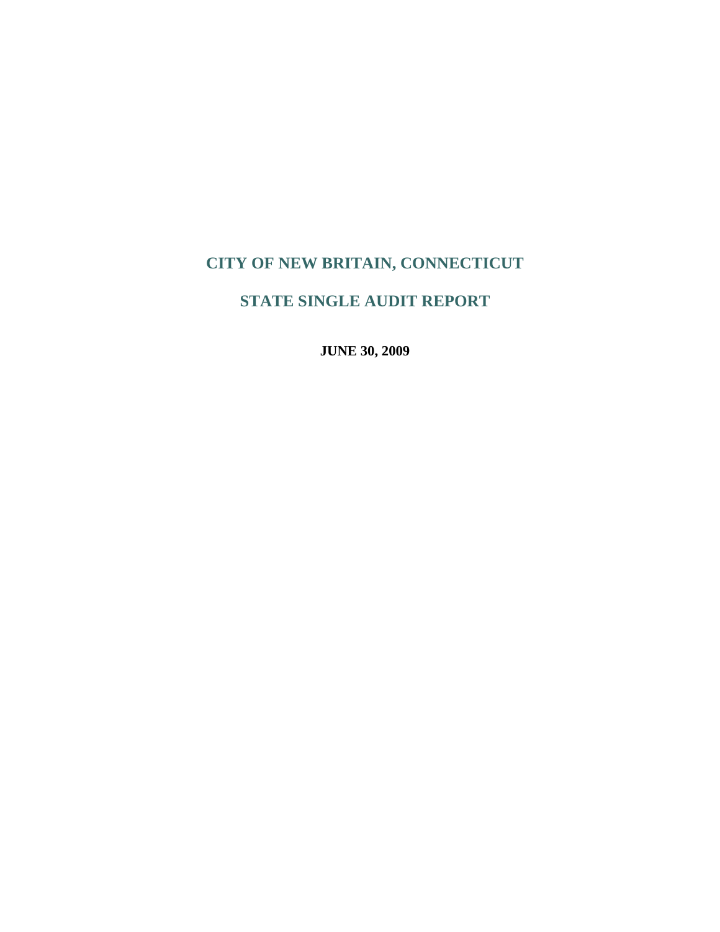# **STATE SINGLE AUDIT REPORT**

**JUNE 30, 2009**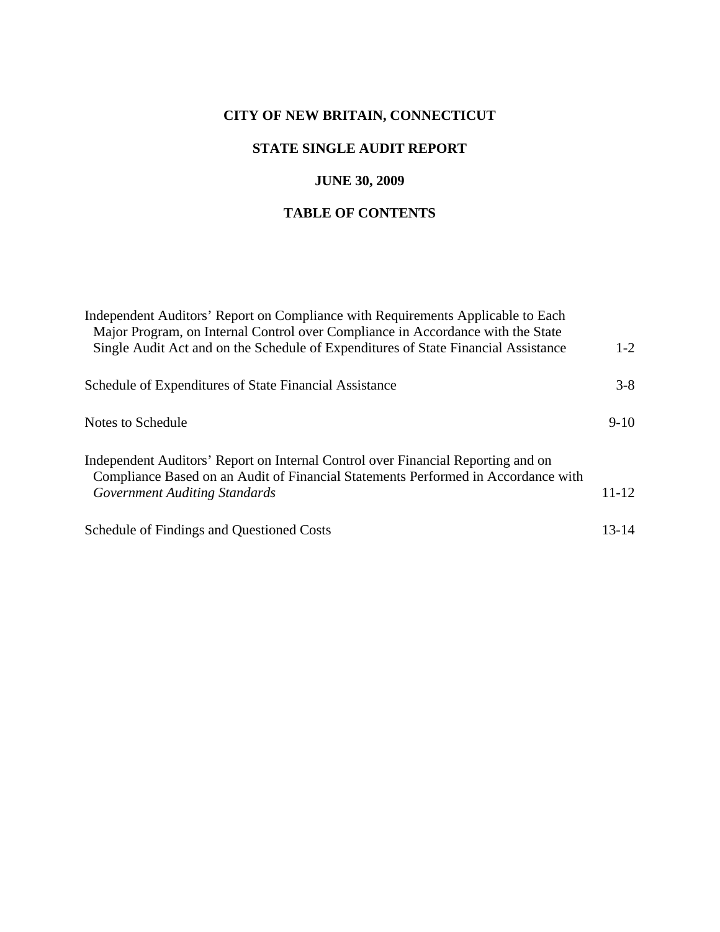## **STATE SINGLE AUDIT REPORT**

## **JUNE 30, 2009**

## **TABLE OF CONTENTS**

| Independent Auditors' Report on Compliance with Requirements Applicable to Each<br>Major Program, on Internal Control over Compliance in Accordance with the State<br>Single Audit Act and on the Schedule of Expenditures of State Financial Assistance | $1 - 2$   |
|----------------------------------------------------------------------------------------------------------------------------------------------------------------------------------------------------------------------------------------------------------|-----------|
| Schedule of Expenditures of State Financial Assistance                                                                                                                                                                                                   | $3 - 8$   |
| Notes to Schedule                                                                                                                                                                                                                                        | $9-10$    |
| Independent Auditors' Report on Internal Control over Financial Reporting and on<br>Compliance Based on an Audit of Financial Statements Performed in Accordance with<br><b>Government Auditing Standards</b>                                            | $11 - 12$ |
| Schedule of Findings and Questioned Costs                                                                                                                                                                                                                | $13 - 14$ |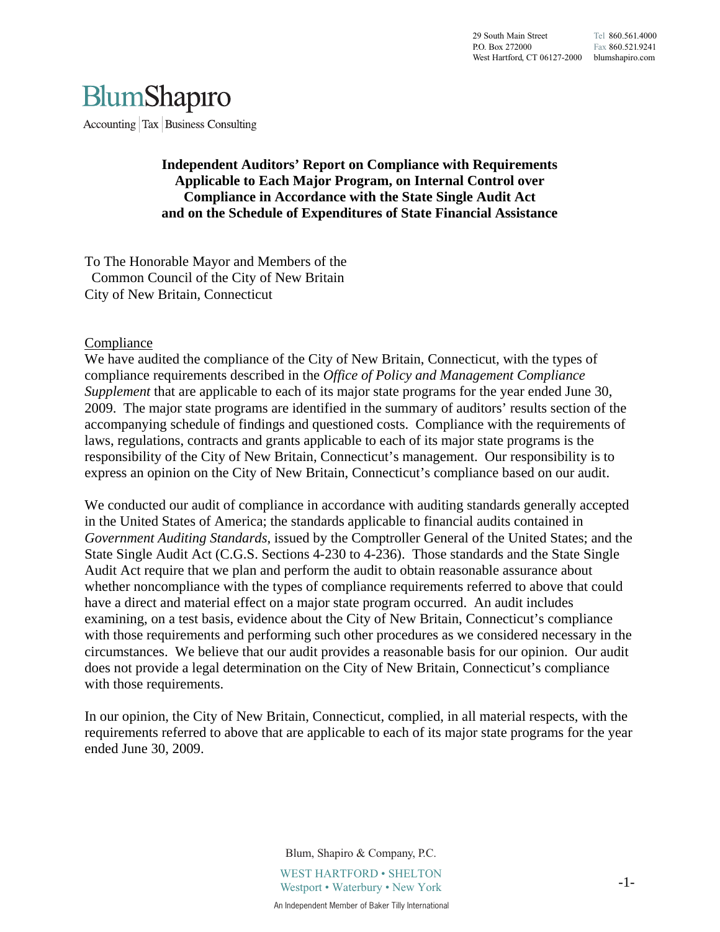

Accounting  $\vert$  Tax  $\vert$  Business Consulting

### **Independent Auditors' Report on Compliance with Requirements Applicable to Each Major Program, on Internal Control over Compliance in Accordance with the State Single Audit Act and on the Schedule of Expenditures of State Financial Assistance**

To The Honorable Mayor and Members of the Common Council of the City of New Britain City of New Britain, Connecticut

#### Compliance

We have audited the compliance of the City of New Britain, Connecticut, with the types of compliance requirements described in the *Office of Policy and Management Compliance Supplement* that are applicable to each of its major state programs for the year ended June 30, 2009. The major state programs are identified in the summary of auditors' results section of the accompanying schedule of findings and questioned costs. Compliance with the requirements of laws, regulations, contracts and grants applicable to each of its major state programs is the responsibility of the City of New Britain, Connecticut's management. Our responsibility is to express an opinion on the City of New Britain, Connecticut's compliance based on our audit.

We conducted our audit of compliance in accordance with auditing standards generally accepted in the United States of America; the standards applicable to financial audits contained in *Government Auditing Standards*, issued by the Comptroller General of the United States; and the State Single Audit Act (C.G.S. Sections 4-230 to 4-236). Those standards and the State Single Audit Act require that we plan and perform the audit to obtain reasonable assurance about whether noncompliance with the types of compliance requirements referred to above that could have a direct and material effect on a major state program occurred. An audit includes examining, on a test basis, evidence about the City of New Britain, Connecticut's compliance with those requirements and performing such other procedures as we considered necessary in the circumstances. We believe that our audit provides a reasonable basis for our opinion. Our audit does not provide a legal determination on the City of New Britain, Connecticut's compliance with those requirements.

In our opinion, the City of New Britain, Connecticut, complied, in all material respects, with the requirements referred to above that are applicable to each of its major state programs for the year ended June 30, 2009.

> Blum, Shapiro & Company, P.C. WEST HARTFORD • SHELTON Westport • Waterbury • New York An Independent Member of Baker Tilly International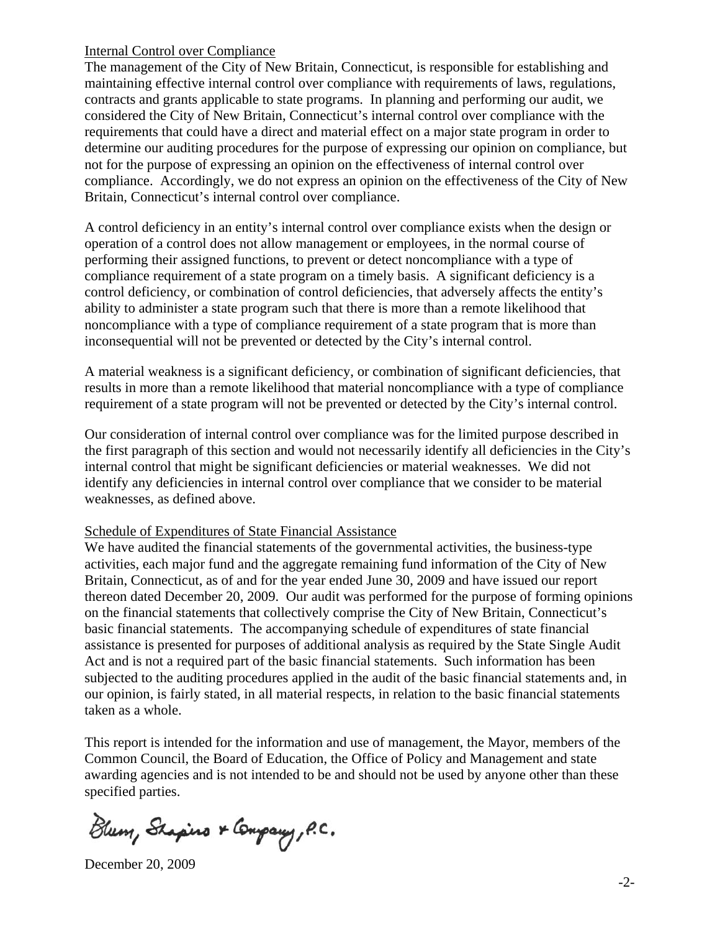#### Internal Control over Compliance

The management of the City of New Britain, Connecticut, is responsible for establishing and maintaining effective internal control over compliance with requirements of laws, regulations, contracts and grants applicable to state programs. In planning and performing our audit, we considered the City of New Britain, Connecticut's internal control over compliance with the requirements that could have a direct and material effect on a major state program in order to determine our auditing procedures for the purpose of expressing our opinion on compliance, but not for the purpose of expressing an opinion on the effectiveness of internal control over compliance. Accordingly, we do not express an opinion on the effectiveness of the City of New Britain, Connecticut's internal control over compliance.

A control deficiency in an entity's internal control over compliance exists when the design or operation of a control does not allow management or employees, in the normal course of performing their assigned functions, to prevent or detect noncompliance with a type of compliance requirement of a state program on a timely basis. A significant deficiency is a control deficiency, or combination of control deficiencies, that adversely affects the entity's ability to administer a state program such that there is more than a remote likelihood that noncompliance with a type of compliance requirement of a state program that is more than inconsequential will not be prevented or detected by the City's internal control.

A material weakness is a significant deficiency, or combination of significant deficiencies, that results in more than a remote likelihood that material noncompliance with a type of compliance requirement of a state program will not be prevented or detected by the City's internal control.

Our consideration of internal control over compliance was for the limited purpose described in the first paragraph of this section and would not necessarily identify all deficiencies in the City's internal control that might be significant deficiencies or material weaknesses. We did not identify any deficiencies in internal control over compliance that we consider to be material weaknesses, as defined above.

#### Schedule of Expenditures of State Financial Assistance

We have audited the financial statements of the governmental activities, the business-type activities, each major fund and the aggregate remaining fund information of the City of New Britain, Connecticut, as of and for the year ended June 30, 2009 and have issued our report thereon dated December 20, 2009. Our audit was performed for the purpose of forming opinions on the financial statements that collectively comprise the City of New Britain, Connecticut's basic financial statements. The accompanying schedule of expenditures of state financial assistance is presented for purposes of additional analysis as required by the State Single Audit Act and is not a required part of the basic financial statements. Such information has been subjected to the auditing procedures applied in the audit of the basic financial statements and, in our opinion, is fairly stated, in all material respects, in relation to the basic financial statements taken as a whole.

This report is intended for the information and use of management, the Mayor, members of the Common Council, the Board of Education, the Office of Policy and Management and state awarding agencies and is not intended to be and should not be used by anyone other than these specified parties.

Blum, Shapino & Company, P.C.

December 20, 2009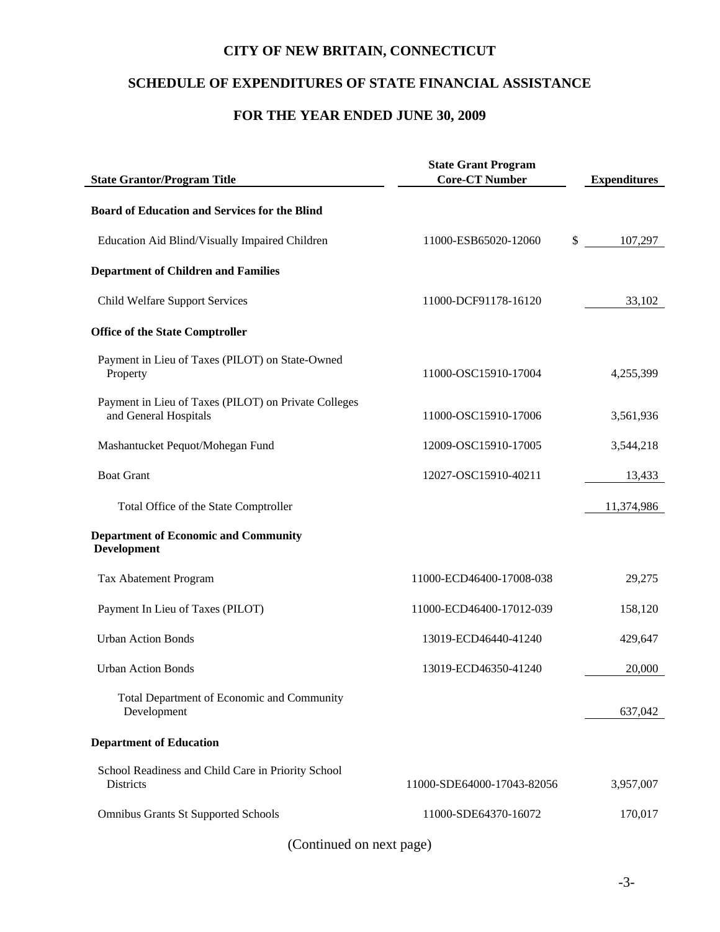## **SCHEDULE OF EXPENDITURES OF STATE FINANCIAL ASSISTANCE**

## **FOR THE YEAR ENDED JUNE 30, 2009**

| <b>State Grantor/Program Title</b>                                            | <b>State Grant Program</b><br><b>Core-CT Number</b> | <b>Expenditures</b> |
|-------------------------------------------------------------------------------|-----------------------------------------------------|---------------------|
| <b>Board of Education and Services for the Blind</b>                          |                                                     |                     |
| Education Aid Blind/Visually Impaired Children                                | 11000-ESB65020-12060                                | \$<br>107,297       |
| <b>Department of Children and Families</b>                                    |                                                     |                     |
| <b>Child Welfare Support Services</b>                                         | 11000-DCF91178-16120                                | 33,102              |
| <b>Office of the State Comptroller</b>                                        |                                                     |                     |
| Payment in Lieu of Taxes (PILOT) on State-Owned<br>Property                   | 11000-OSC15910-17004                                | 4,255,399           |
| Payment in Lieu of Taxes (PILOT) on Private Colleges<br>and General Hospitals | 11000-OSC15910-17006                                | 3,561,936           |
| Mashantucket Pequot/Mohegan Fund                                              | 12009-OSC15910-17005                                | 3,544,218           |
| <b>Boat Grant</b>                                                             | 12027-OSC15910-40211                                | 13,433              |
| Total Office of the State Comptroller                                         |                                                     | 11,374,986          |
| <b>Department of Economic and Community</b><br><b>Development</b>             |                                                     |                     |
| Tax Abatement Program                                                         | 11000-ECD46400-17008-038                            | 29,275              |
| Payment In Lieu of Taxes (PILOT)                                              | 11000-ECD46400-17012-039                            | 158,120             |
| <b>Urban Action Bonds</b>                                                     | 13019-ECD46440-41240                                | 429,647             |
| <b>Urban Action Bonds</b>                                                     | 13019-ECD46350-41240                                | 20,000              |
| Total Department of Economic and Community<br>Development                     |                                                     | 637,042             |
| <b>Department of Education</b>                                                |                                                     |                     |
| School Readiness and Child Care in Priority School<br>Districts               | 11000-SDE64000-17043-82056                          | 3,957,007           |
| <b>Omnibus Grants St Supported Schools</b>                                    | 11000-SDE64370-16072                                | 170,017             |
|                                                                               |                                                     |                     |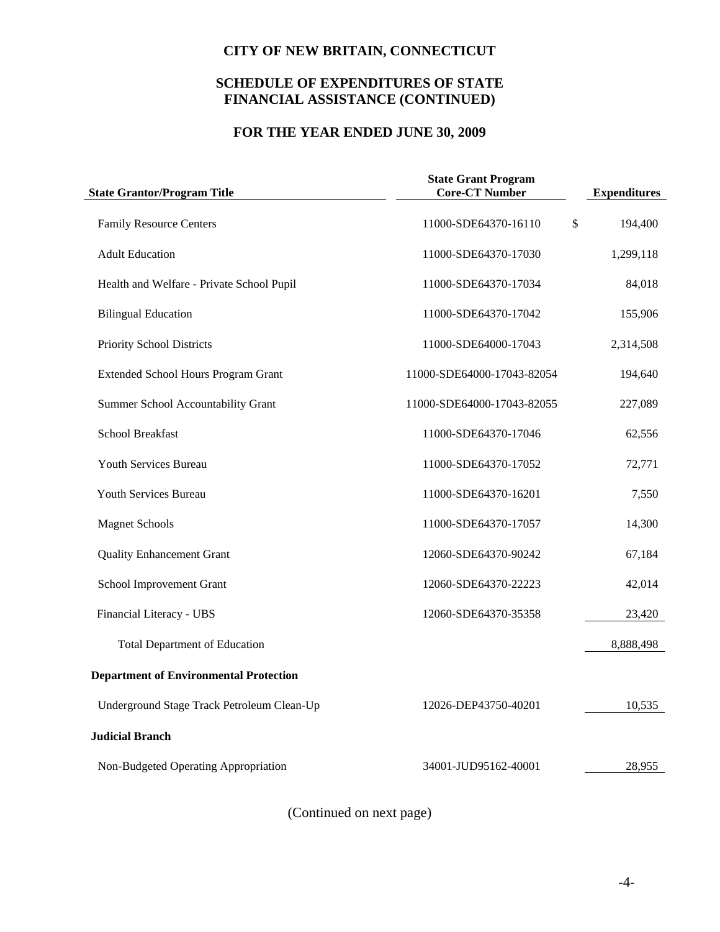## **SCHEDULE OF EXPENDITURES OF STATE FINANCIAL ASSISTANCE (CONTINUED)**

## **FOR THE YEAR ENDED JUNE 30, 2009**

| <b>State Grantor/Program Title</b>            | <b>State Grant Program</b><br><b>Core-CT Number</b> | <b>Expenditures</b> |
|-----------------------------------------------|-----------------------------------------------------|---------------------|
| <b>Family Resource Centers</b>                | 11000-SDE64370-16110                                | \$<br>194,400       |
| <b>Adult Education</b>                        | 11000-SDE64370-17030                                | 1,299,118           |
| Health and Welfare - Private School Pupil     | 11000-SDE64370-17034                                | 84,018              |
| <b>Bilingual Education</b>                    | 11000-SDE64370-17042                                | 155,906             |
| Priority School Districts                     | 11000-SDE64000-17043                                | 2,314,508           |
| <b>Extended School Hours Program Grant</b>    | 11000-SDE64000-17043-82054                          | 194,640             |
| Summer School Accountability Grant            | 11000-SDE64000-17043-82055                          | 227,089             |
| <b>School Breakfast</b>                       | 11000-SDE64370-17046                                | 62,556              |
| Youth Services Bureau                         | 11000-SDE64370-17052                                | 72,771              |
| <b>Youth Services Bureau</b>                  | 11000-SDE64370-16201                                | 7,550               |
| <b>Magnet Schools</b>                         | 11000-SDE64370-17057                                | 14,300              |
| <b>Quality Enhancement Grant</b>              | 12060-SDE64370-90242                                | 67,184              |
| School Improvement Grant                      | 12060-SDE64370-22223                                | 42,014              |
| Financial Literacy - UBS                      | 12060-SDE64370-35358                                | 23,420              |
| <b>Total Department of Education</b>          |                                                     | 8,888,498           |
| <b>Department of Environmental Protection</b> |                                                     |                     |
| Underground Stage Track Petroleum Clean-Up    | 12026-DEP43750-40201                                | 10,535              |
| <b>Judicial Branch</b>                        |                                                     |                     |
| Non-Budgeted Operating Appropriation          | 34001-JUD95162-40001                                | 28,955              |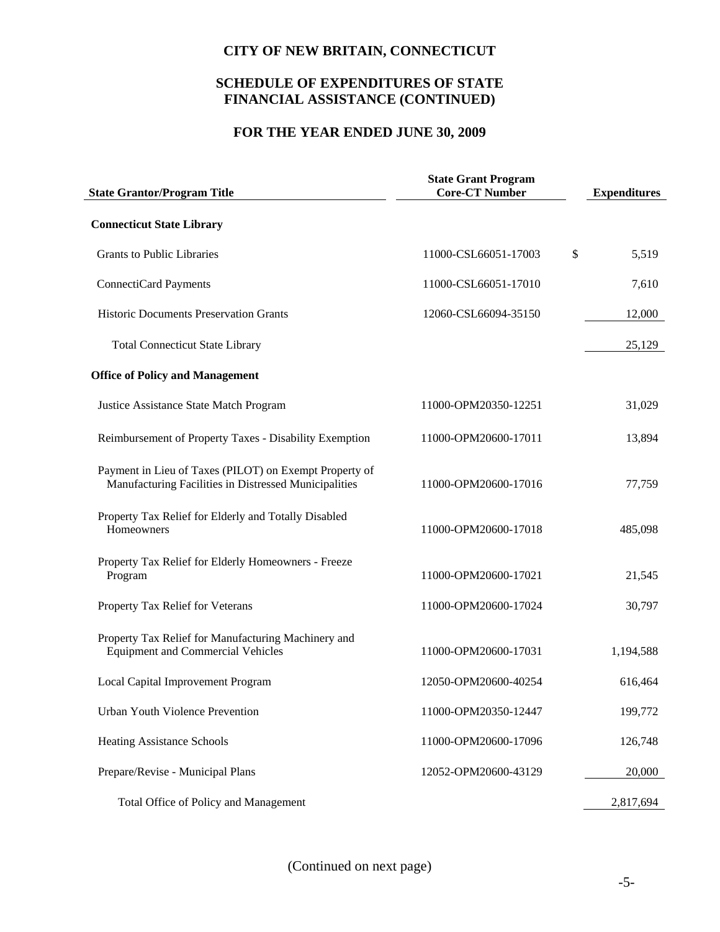## **SCHEDULE OF EXPENDITURES OF STATE FINANCIAL ASSISTANCE (CONTINUED)**

## **FOR THE YEAR ENDED JUNE 30, 2009**

| <b>State Grantor/Program Title</b>                                                                              | <b>State Grant Program</b><br><b>Core-CT Number</b> | <b>Expenditures</b> |
|-----------------------------------------------------------------------------------------------------------------|-----------------------------------------------------|---------------------|
| <b>Connecticut State Library</b>                                                                                |                                                     |                     |
| <b>Grants to Public Libraries</b>                                                                               | 11000-CSL66051-17003                                | \$<br>5,519         |
| ConnectiCard Payments                                                                                           | 11000-CSL66051-17010                                | 7,610               |
| <b>Historic Documents Preservation Grants</b>                                                                   | 12060-CSL66094-35150                                | 12,000              |
| <b>Total Connecticut State Library</b>                                                                          |                                                     | 25,129              |
| <b>Office of Policy and Management</b>                                                                          |                                                     |                     |
| Justice Assistance State Match Program                                                                          | 11000-OPM20350-12251                                | 31,029              |
| Reimbursement of Property Taxes - Disability Exemption                                                          | 11000-OPM20600-17011                                | 13,894              |
| Payment in Lieu of Taxes (PILOT) on Exempt Property of<br>Manufacturing Facilities in Distressed Municipalities | 11000-OPM20600-17016                                | 77,759              |
| Property Tax Relief for Elderly and Totally Disabled<br>Homeowners                                              | 11000-OPM20600-17018                                | 485,098             |
| Property Tax Relief for Elderly Homeowners - Freeze<br>Program                                                  | 11000-OPM20600-17021                                | 21,545              |
| Property Tax Relief for Veterans                                                                                | 11000-OPM20600-17024                                | 30,797              |
| Property Tax Relief for Manufacturing Machinery and<br><b>Equipment and Commercial Vehicles</b>                 | 11000-OPM20600-17031                                | 1,194,588           |
| Local Capital Improvement Program                                                                               | 12050-OPM20600-40254                                | 616,464             |
| Urban Youth Violence Prevention                                                                                 | 11000-OPM20350-12447                                | 199,772             |
| <b>Heating Assistance Schools</b>                                                                               | 11000-OPM20600-17096                                | 126,748             |
| Prepare/Revise - Municipal Plans                                                                                | 12052-OPM20600-43129                                | 20,000              |
| Total Office of Policy and Management                                                                           |                                                     | 2,817,694           |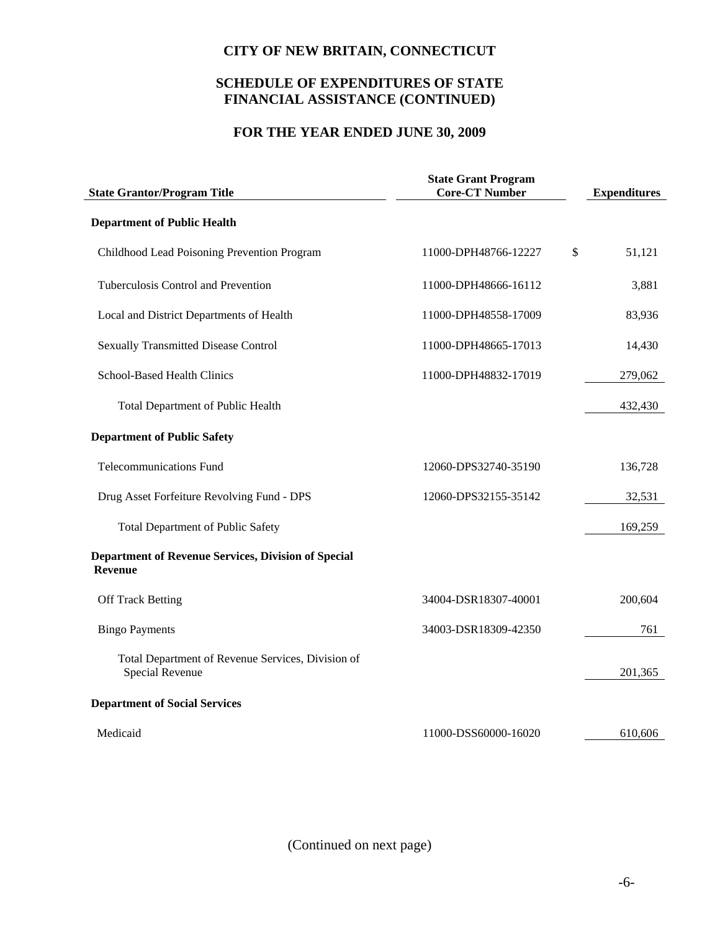## **SCHEDULE OF EXPENDITURES OF STATE FINANCIAL ASSISTANCE (CONTINUED)**

## **FOR THE YEAR ENDED JUNE 30, 2009**

| <b>State Grantor/Program Title</b>                                    | <b>State Grant Program</b><br><b>Core-CT Number</b> | <b>Expenditures</b> |
|-----------------------------------------------------------------------|-----------------------------------------------------|---------------------|
| <b>Department of Public Health</b>                                    |                                                     |                     |
| Childhood Lead Poisoning Prevention Program                           | 11000-DPH48766-12227                                | \$<br>51,121        |
| Tuberculosis Control and Prevention                                   | 11000-DPH48666-16112                                | 3,881               |
| Local and District Departments of Health                              | 11000-DPH48558-17009                                | 83,936              |
| <b>Sexually Transmitted Disease Control</b>                           | 11000-DPH48665-17013                                | 14,430              |
| School-Based Health Clinics                                           | 11000-DPH48832-17019                                | 279,062             |
| Total Department of Public Health                                     |                                                     | 432,430             |
| <b>Department of Public Safety</b>                                    |                                                     |                     |
| <b>Telecommunications Fund</b>                                        | 12060-DPS32740-35190                                | 136,728             |
| Drug Asset Forfeiture Revolving Fund - DPS                            | 12060-DPS32155-35142                                | 32,531              |
| <b>Total Department of Public Safety</b>                              |                                                     | 169,259             |
| <b>Department of Revenue Services, Division of Special</b><br>Revenue |                                                     |                     |
| <b>Off Track Betting</b>                                              | 34004-DSR18307-40001                                | 200,604             |
| <b>Bingo Payments</b>                                                 | 34003-DSR18309-42350                                | 761                 |
| Total Department of Revenue Services, Division of<br>Special Revenue  |                                                     | 201,365             |
| <b>Department of Social Services</b>                                  |                                                     |                     |
| Medicaid                                                              | 11000-DSS60000-16020                                | 610,606             |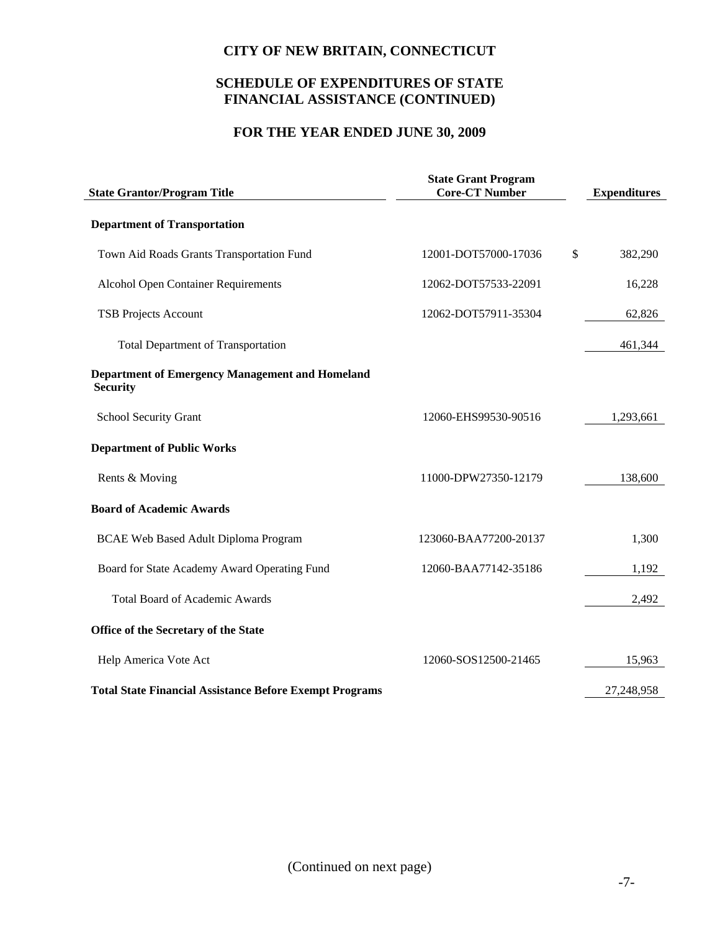## **SCHEDULE OF EXPENDITURES OF STATE FINANCIAL ASSISTANCE (CONTINUED)**

## **FOR THE YEAR ENDED JUNE 30, 2009**

| <b>State Grant Program</b><br><b>Core-CT Number</b><br><b>State Grantor/Program Title</b> |                       | <b>Expenditures</b> |
|-------------------------------------------------------------------------------------------|-----------------------|---------------------|
| <b>Department of Transportation</b>                                                       |                       |                     |
| Town Aid Roads Grants Transportation Fund                                                 | 12001-DOT57000-17036  | \$<br>382,290       |
| <b>Alcohol Open Container Requirements</b>                                                | 12062-DOT57533-22091  | 16,228              |
| <b>TSB Projects Account</b>                                                               | 12062-DOT57911-35304  | 62,826              |
| <b>Total Department of Transportation</b>                                                 |                       | 461,344             |
| <b>Department of Emergency Management and Homeland</b><br><b>Security</b>                 |                       |                     |
| School Security Grant                                                                     | 12060-EHS99530-90516  | 1,293,661           |
| <b>Department of Public Works</b>                                                         |                       |                     |
| Rents & Moving                                                                            | 11000-DPW27350-12179  | 138,600             |
| <b>Board of Academic Awards</b>                                                           |                       |                     |
| <b>BCAE Web Based Adult Diploma Program</b>                                               | 123060-BAA77200-20137 | 1,300               |
| Board for State Academy Award Operating Fund                                              | 12060-BAA77142-35186  | 1,192               |
| <b>Total Board of Academic Awards</b>                                                     |                       | 2,492               |
| Office of the Secretary of the State                                                      |                       |                     |
| Help America Vote Act                                                                     | 12060-SOS12500-21465  | 15,963              |
| <b>Total State Financial Assistance Before Exempt Programs</b>                            |                       | 27,248,958          |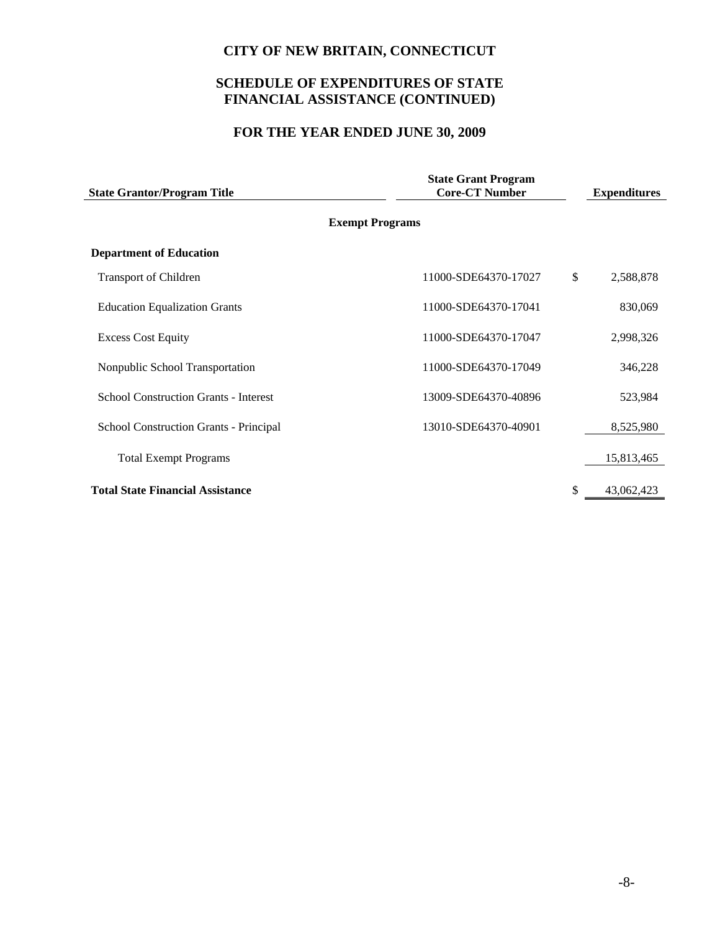## **SCHEDULE OF EXPENDITURES OF STATE FINANCIAL ASSISTANCE (CONTINUED)**

## **FOR THE YEAR ENDED JUNE 30, 2009**

| <b>State Grantor/Program Title</b>           | <b>State Grant Program</b><br><b>Core-CT Number</b> |                  |
|----------------------------------------------|-----------------------------------------------------|------------------|
|                                              | <b>Exempt Programs</b>                              |                  |
| <b>Department of Education</b>               |                                                     |                  |
| <b>Transport of Children</b>                 | 11000-SDE64370-17027                                | \$<br>2,588,878  |
| <b>Education Equalization Grants</b>         | 11000-SDE64370-17041                                | 830,069          |
| <b>Excess Cost Equity</b>                    | 11000-SDE64370-17047                                | 2,998,326        |
| Nonpublic School Transportation              | 11000-SDE64370-17049                                | 346,228          |
| <b>School Construction Grants - Interest</b> | 13009-SDE64370-40896                                | 523,984          |
| School Construction Grants - Principal       | 13010-SDE64370-40901                                | 8,525,980        |
| <b>Total Exempt Programs</b>                 |                                                     | 15,813,465       |
| <b>Total State Financial Assistance</b>      |                                                     | \$<br>43,062,423 |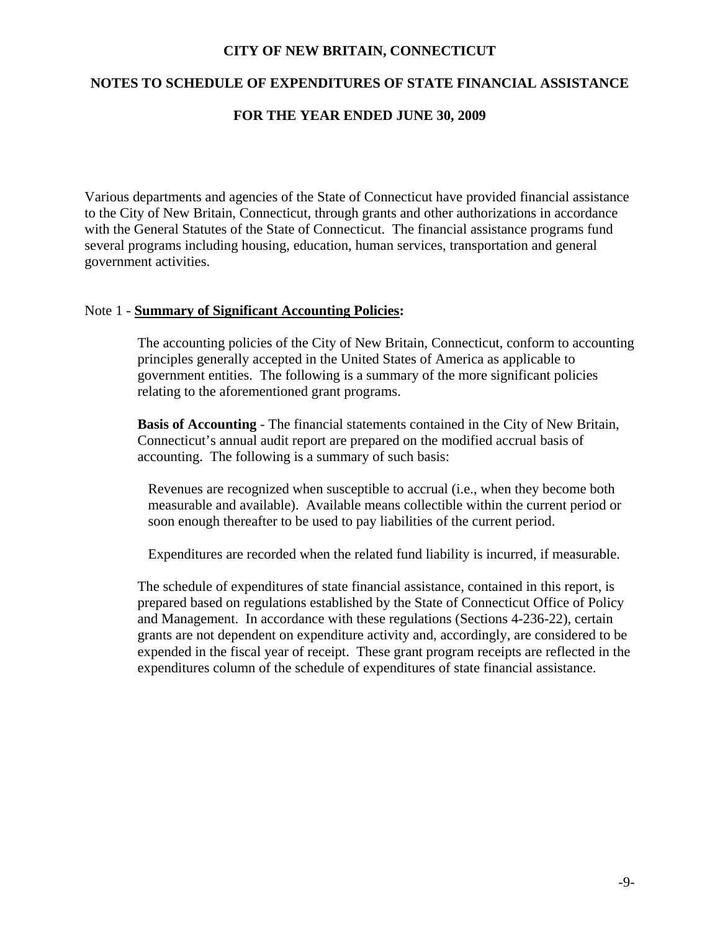### **NOTES TO SCHEDULE OF EXPENDITURES OF STATE FINANCIAL ASSISTANCE**

#### **FOR THE YEAR ENDED JUNE 30, 2009**

Various departments and agencies of the State of Connecticut have provided financial assistance to the City of New Britain, Connecticut, through grants and other authorizations in accordance with the General Statutes of the State of Connecticut. The financial assistance programs fund several programs including housing, education, human services, transportation and general government activities.

#### Note 1 - **Summary of Significant Accounting Policies:**

The accounting policies of the City of New Britain, Connecticut, conform to accounting principles generally accepted in the United States of America as applicable to government entities. The following is a summary of the more significant policies relating to the aforementioned grant programs.

**Basis of Accounting** - The financial statements contained in the City of New Britain, Connecticut's annual audit report are prepared on the modified accrual basis of accounting. The following is a summary of such basis:

Revenues are recognized when susceptible to accrual (i.e., when they become both measurable and available). Available means collectible within the current period or soon enough thereafter to be used to pay liabilities of the current period.

Expenditures are recorded when the related fund liability is incurred, if measurable.

The schedule of expenditures of state financial assistance, contained in this report, is prepared based on regulations established by the State of Connecticut Office of Policy and Management. In accordance with these regulations (Sections 4-236-22), certain grants are not dependent on expenditure activity and, accordingly, are considered to be expended in the fiscal year of receipt. These grant program receipts are reflected in the expenditures column of the schedule of expenditures of state financial assistance.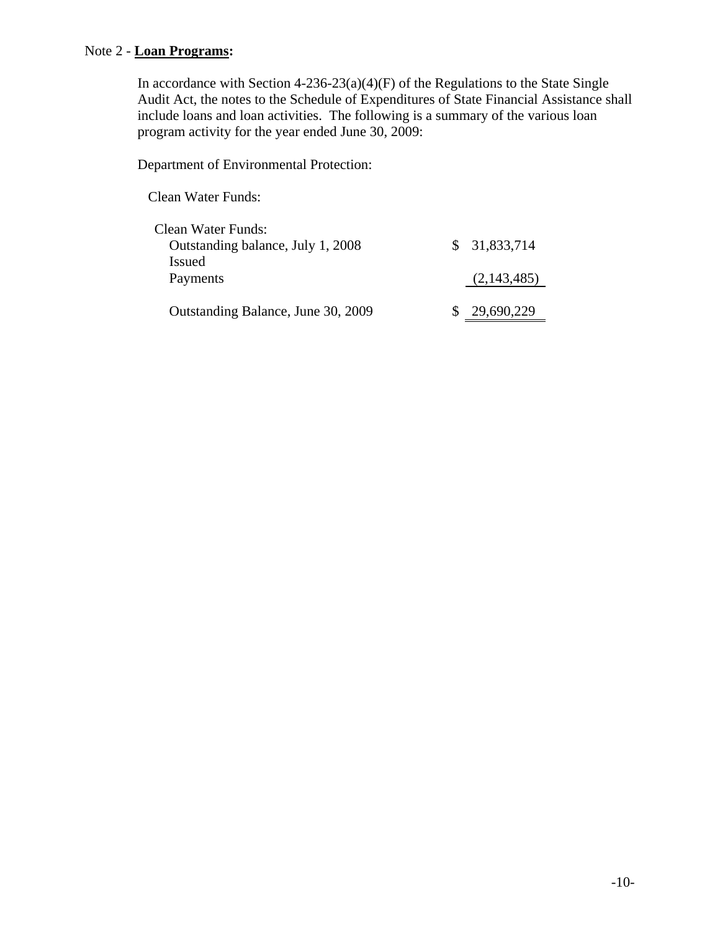## Note 2 - **Loan Programs:**

In accordance with Section  $4-236-23(a)(4)(F)$  of the Regulations to the State Single Audit Act, the notes to the Schedule of Expenditures of State Financial Assistance shall include loans and loan activities. The following is a summary of the various loan program activity for the year ended June 30, 2009:

Department of Environmental Protection:

Clean Water Funds:

| Clean Water Funds:<br>Outstanding balance, July 1, 2008 | \$31,833,714 |
|---------------------------------------------------------|--------------|
| <b>Issued</b><br>Payments                               | (2,143,485)  |
| Outstanding Balance, June 30, 2009                      | 29,690,229   |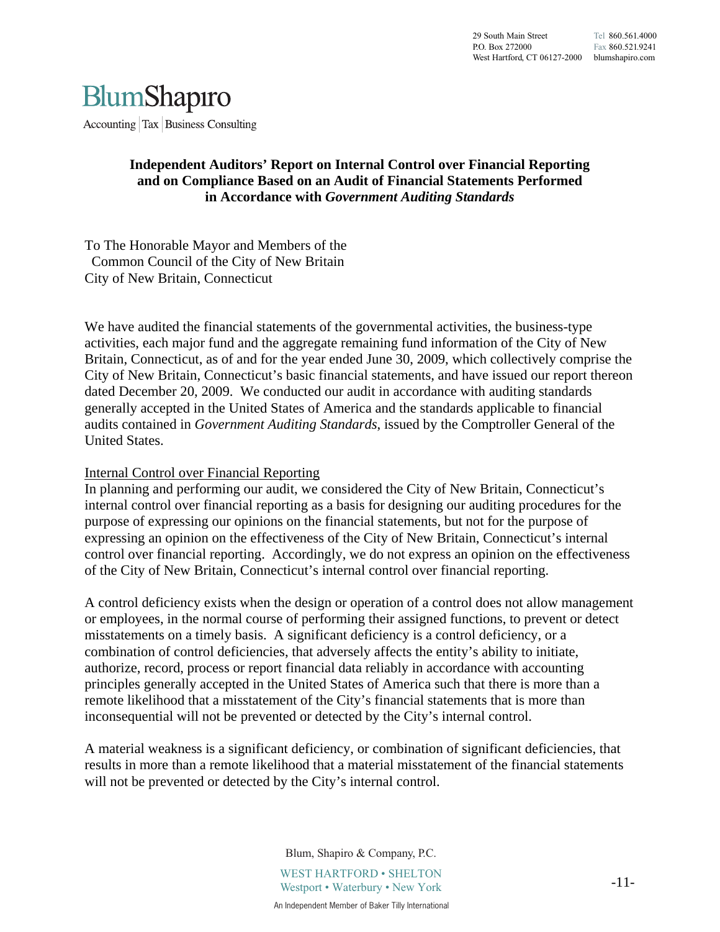

Accounting  $\vert$  Tax  $\vert$  Business Consulting

#### **Independent Auditors' Report on Internal Control over Financial Reporting and on Compliance Based on an Audit of Financial Statements Performed in Accordance with** *Government Auditing Standards*

To The Honorable Mayor and Members of the Common Council of the City of New Britain City of New Britain, Connecticut

We have audited the financial statements of the governmental activities, the business-type activities, each major fund and the aggregate remaining fund information of the City of New Britain, Connecticut, as of and for the year ended June 30, 2009, which collectively comprise the City of New Britain, Connecticut's basic financial statements, and have issued our report thereon dated December 20, 2009. We conducted our audit in accordance with auditing standards generally accepted in the United States of America and the standards applicable to financial audits contained in *Government Auditing Standards*, issued by the Comptroller General of the United States.

#### Internal Control over Financial Reporting

In planning and performing our audit, we considered the City of New Britain, Connecticut's internal control over financial reporting as a basis for designing our auditing procedures for the purpose of expressing our opinions on the financial statements, but not for the purpose of expressing an opinion on the effectiveness of the City of New Britain, Connecticut's internal control over financial reporting. Accordingly, we do not express an opinion on the effectiveness of the City of New Britain, Connecticut's internal control over financial reporting.

A control deficiency exists when the design or operation of a control does not allow management or employees, in the normal course of performing their assigned functions, to prevent or detect misstatements on a timely basis. A significant deficiency is a control deficiency, or a combination of control deficiencies, that adversely affects the entity's ability to initiate, authorize, record, process or report financial data reliably in accordance with accounting principles generally accepted in the United States of America such that there is more than a remote likelihood that a misstatement of the City's financial statements that is more than inconsequential will not be prevented or detected by the City's internal control.

A material weakness is a significant deficiency, or combination of significant deficiencies, that results in more than a remote likelihood that a material misstatement of the financial statements will not be prevented or detected by the City's internal control.

> Blum, Shapiro & Company, P.C. WEST HARTFORD • SHELTON Westport • Waterbury • New York An Independent Member of Baker Tilly International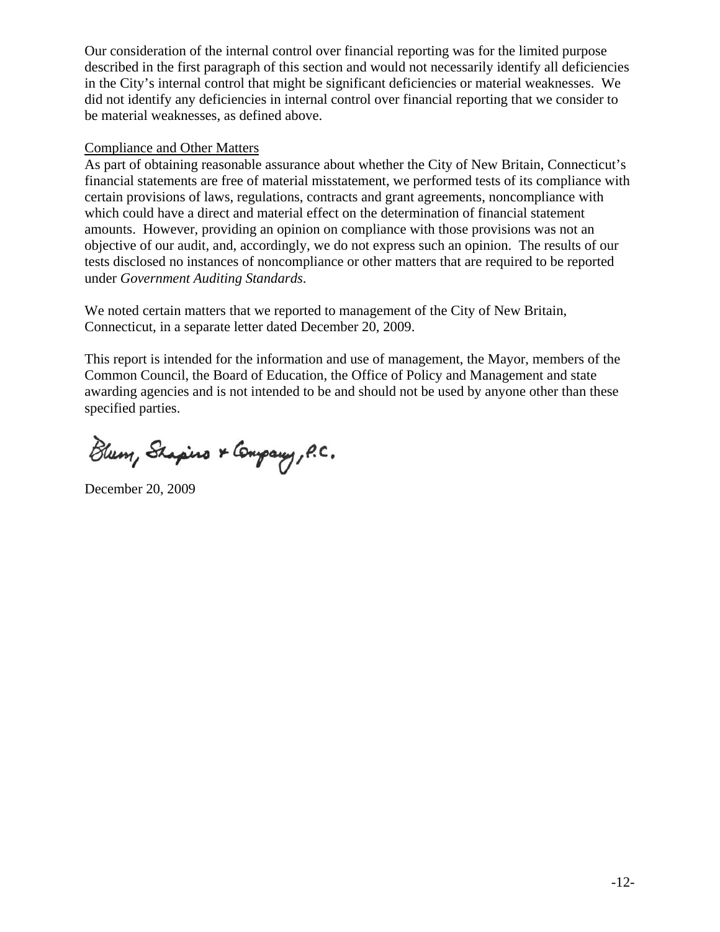Our consideration of the internal control over financial reporting was for the limited purpose described in the first paragraph of this section and would not necessarily identify all deficiencies in the City's internal control that might be significant deficiencies or material weaknesses. We did not identify any deficiencies in internal control over financial reporting that we consider to be material weaknesses, as defined above.

#### Compliance and Other Matters

As part of obtaining reasonable assurance about whether the City of New Britain, Connecticut's financial statements are free of material misstatement, we performed tests of its compliance with certain provisions of laws, regulations, contracts and grant agreements, noncompliance with which could have a direct and material effect on the determination of financial statement amounts. However, providing an opinion on compliance with those provisions was not an objective of our audit, and, accordingly, we do not express such an opinion. The results of our tests disclosed no instances of noncompliance or other matters that are required to be reported under *Government Auditing Standards*.

We noted certain matters that we reported to management of the City of New Britain, Connecticut, in a separate letter dated December 20, 2009.

This report is intended for the information and use of management, the Mayor, members of the Common Council, the Board of Education, the Office of Policy and Management and state awarding agencies and is not intended to be and should not be used by anyone other than these specified parties.

Blum, Shapino & Company, P.C.

December 20, 2009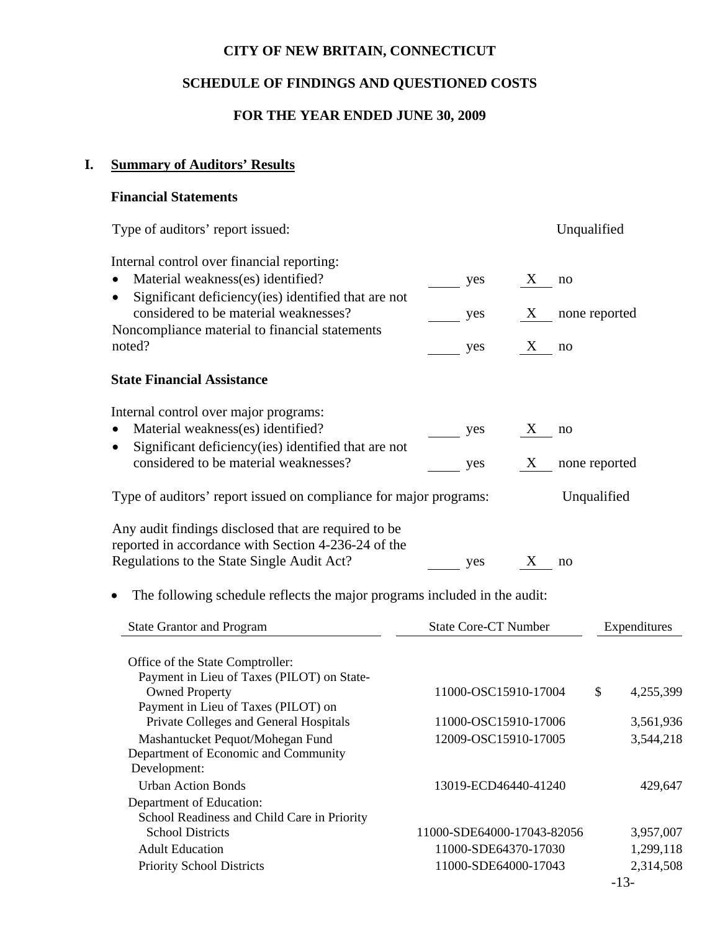# **SCHEDULE OF FINDINGS AND QUESTIONED COSTS**

## **FOR THE YEAR ENDED JUNE 30, 2009**

# **I. Summary of Auditors' Results**

# **Financial Statements**

| Type of auditors' report issued:                                                                                                                          |                             |                | Unqualified            |
|-----------------------------------------------------------------------------------------------------------------------------------------------------------|-----------------------------|----------------|------------------------|
| Internal control over financial reporting:<br>Material weakness(es) identified?<br>Significant deficiency(ies) identified that are not<br>$\bullet$       | yes                         | $\bf{X}$<br>no |                        |
| considered to be material weaknesses?<br>Noncompliance material to financial statements                                                                   | yes                         |                | X none reported        |
| noted?                                                                                                                                                    | yes                         | X<br>no        |                        |
| <b>State Financial Assistance</b>                                                                                                                         |                             |                |                        |
| Internal control over major programs:                                                                                                                     |                             |                |                        |
| Material weakness(es) identified?                                                                                                                         | yes                         | X<br>no        |                        |
| Significant deficiency(ies) identified that are not<br>$\bullet$<br>considered to be material weaknesses?                                                 | yes                         |                | X none reported        |
| Type of auditors' report issued on compliance for major programs:                                                                                         |                             |                | Unqualified            |
| Any audit findings disclosed that are required to be<br>reported in accordance with Section 4-236-24 of the<br>Regulations to the State Single Audit Act? | yes                         | X<br>no        |                        |
| The following schedule reflects the major programs included in the audit:                                                                                 |                             |                |                        |
| <b>State Grantor and Program</b>                                                                                                                          | <b>State Core-CT Number</b> |                | Expenditures           |
| Office of the State Comptroller:                                                                                                                          |                             |                |                        |
| Payment in Lieu of Taxes (PILOT) on State-<br><b>Owned Property</b><br>Payment in Lieu of Taxes (PILOT) on                                                | 11000-OSC15910-17004        |                | \$<br>4,255,399        |
| Private Colleges and General Hospitals                                                                                                                    | 11000-OSC15910-17006        |                | 3,561,936              |
| Mashantucket Pequot/Mohegan Fund<br>Department of Economic and Community<br>Development:                                                                  | 12009-OSC15910-17005        |                | 3,544,218              |
| <b>Urban Action Bonds</b>                                                                                                                                 | 13019-ECD46440-41240        |                | 429,647                |
| Department of Education:                                                                                                                                  |                             |                |                        |
| School Readiness and Child Care in Priority<br><b>School Districts</b>                                                                                    | 11000-SDE64000-17043-82056  |                |                        |
| <b>Adult Education</b>                                                                                                                                    | 11000-SDE64370-17030        |                | 3,957,007<br>1,299,118 |
| Priority School Districts                                                                                                                                 | 11000-SDE64000-17043        |                | 2,314,508              |
|                                                                                                                                                           |                             |                | $-13-$                 |